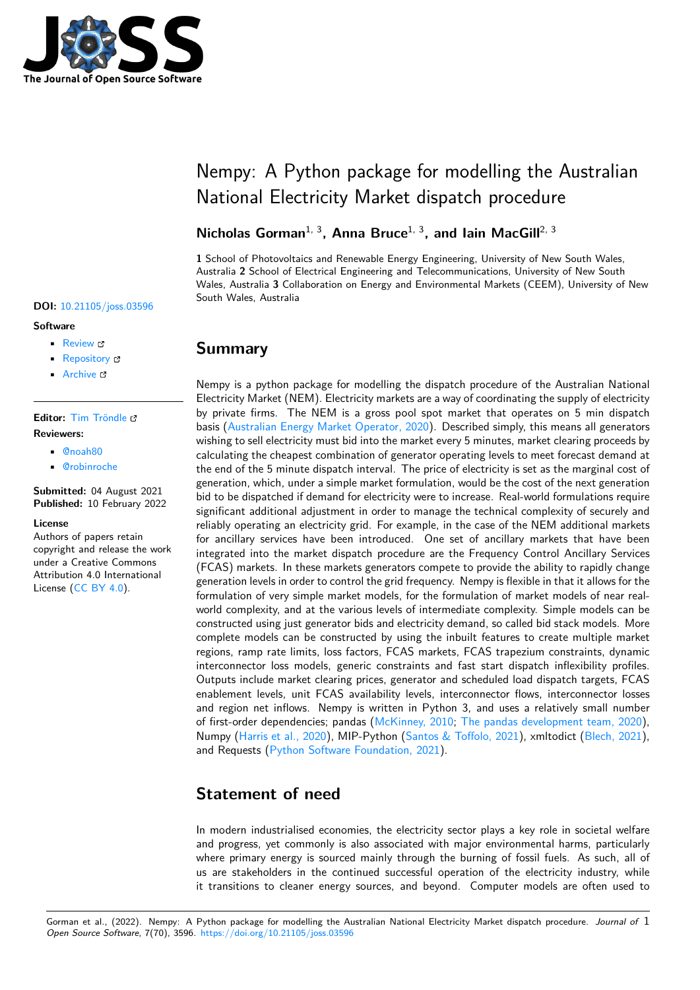

### **DOI:** 10.21105/joss.03596

#### **Software**

- Review C
- [Repository](https://doi.org/10.21105/joss.03596) &
- Archive

### **Editor:** [Tim Trön](https://github.com/UNSW-CEEM/nempy)dle

### **Revie[wers:](https://doi.org/10.5281/zenodo.5989170)**

- @noah80
- @[robinroche](https://github.com/timtroendle)

**Submitted:** 04 August 2021 **Publi[shed:](https://github.com/noah80)** 10 February 2022

### **Licen[se](https://github.com/robinroche)**

Authors of papers retain copyright and release the work under a Creative Commons Attribution 4.0 International License (CC BY 4.0).

# Nempy: A Python package for modelling the Australian National Electricity Market dispatch procedure

## **Nicholas Gorman**1, 3**, Anna Bruce**1, 3**, and Iain MacGill**2, 3

**1** School of Photovoltaics and Renewable Energy Engineering, University of New South Wales, Australia **2** School of Electrical Engineering and Telecommunications, University of New South Wales, Australia **3** Collaboration on Energy and Environmental Markets (CEEM), University of New South Wales, Australia

## **Summary**

Nempy is a python package for modelling the dispatch procedure of the Australian National Electricity Market (NEM). Electricity markets are a way of coordinating the supply of electricity by private firms. The NEM is a gross pool spot market that operates on 5 min dispatch basis (Australian Energy Market Operator, 2020). Described simply, this means all generators wishing to sell electricity must bid into the market every 5 minutes, market clearing proceeds by calculating the cheapest combination of generator operating levels to meet forecast demand at the end of the 5 minute dispatch interval. The price of electricity is set as the marginal cost of gener[ation, which, under a simple market formula](#page-3-0)tion, would be the cost of the next generation bid to be dispatched if demand for electricity were to increase. Real-world formulations require significant additional adjustment in order to manage the technical complexity of securely and reliably operating an electricity grid. For example, in the case of the NEM additional markets for ancillary services have been introduced. One set of ancillary markets that have been integrated into the market dispatch procedure are the Frequency Control Ancillary Services (FCAS) markets. In these markets generators compete to provide the ability to rapidly change generation levels in order to control the grid frequency. Nempy is flexible in that it allows for the formulation of very simple market models, for the formulation of market models of near realworld complexity, and at the various levels of intermediate complexity. Simple models can be constructed using just generator bids and electricity demand, so called bid stack models. More complete models can be constructed by using the inbuilt features to create multiple market regions, ramp rate limits, loss factors, FCAS markets, FCAS trapezium constraints, dynamic interconnector loss models, generic constraints and fast start dispatch inflexibility profiles. Outputs include market clearing prices, generator and scheduled load dispatch targets, FCAS enablement levels, unit FCAS availability levels, interconnector flows, interconnector losses and region net inflows. Nempy is written in Python 3, and uses a relatively small number of first-order dependencies; pandas (McKinney, 2010; The pandas development team, 2020), Numpy (Harris et al., 2020), MIP-Python (Santos & Toffolo, 2021), xmltodict (Blech, 2021), and Requests (Python Software Foundation, 2021).

## **State[ment of nee](#page-4-0)[d](#page-4-1)**

In modern industrialised economies, the electricity sector plays a key role in societal welfare and progress, yet commonly is also associated with major environmental harms, particularly where primary energy is sourced mainly through the burning of fossil fuels. As such, all of us are stakeholders in the continued successful operation of the electricity industry, while it transitions to cleaner energy sources, and beyond. Computer models are often used to

Gorman et al., (2022). Nempy: A Python package for modelling the Australian National Electricity Market dispatch procedure. *Journal of* 1*Open Source Software*, 7(70), 3596. https://doi.org/10.21105/joss.03596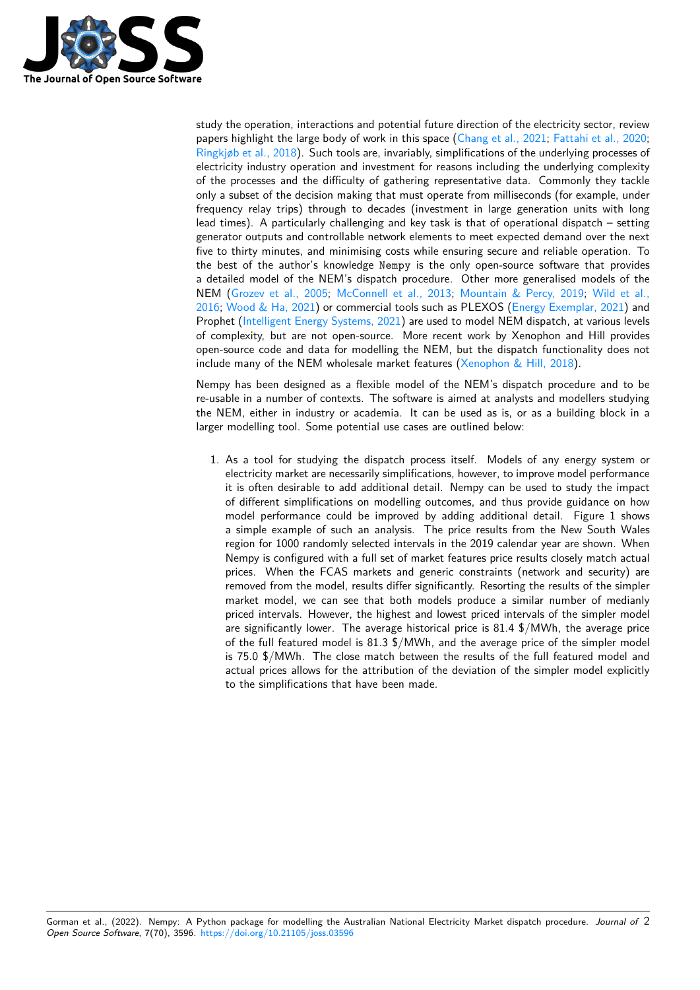

study the operation, interactions and potential future direction of the electricity sector, review papers highlight the large body of work in this space (Chang et al., 2021; Fattahi et al., 2020; Ringkjøb et al., 2018). Such tools are, invariably, simplifications of the underlying processes of electricity industry operation and investment for reasons including the underlying complexity of the processes and the difficulty of gathering representative data. Commonly they tackle only a subset of the decision making that must opera[te from millisecond](#page-3-1)s [\(for example, under](#page-3-2) [frequency relay trips](#page-4-2)) through to decades (investment in large generation units with long lead times). A particularly challenging and key task is that of operational dispatch – setting generator outputs and controllable network elements to meet expected demand over the next five to thirty minutes, and minimising costs while ensuring secure and reliable operation. To the best of the author's knowledge Nempy is the only open-source software that provides a detailed model of the NEM's dispatch procedure. Other more generalised models of the NEM (Grozev et al., 2005; McConnell et al., 2013; Mountain & Percy, 2019; Wild et al., 2016; Wood & Ha, 2021) or commercial tools such as PLEXOS (Energy Exemplar, 2021) and Prophet (Intelligent Energy Systems, 2021) are used to model NEM dispatch, at various levels of complexity, but are not open-source. More recent work by Xenophon and Hill provides open-s[ource code and data](#page-4-3) [for modelling the NEM,](#page-4-4) [but the dispatch functiona](#page-4-5)l[ity does not](#page-4-6) [includ](#page-4-6)[e many of the NEM](#page-4-7) wholesale market features (Xenophon [& Hill, 2018\).](#page-3-3)

Nempy h[as been designed as a flexible m](#page-4-8)odel of the NEM's dispatch procedure and to be re-usable in a number of contexts. The software is aimed at analysts and modellers studying the NEM, either in industry or academia. It can be [used as is, or as a buil](#page-4-9)ding block in a larger modelling tool. Some potential use cases are outlined below:

1. As a tool for studying the dispatch process itself. Models of any energy system or electricity market are necessarily simplifications, however, to improve model performance it is often desirable to add additional detail. Nempy can be used to study the impact of different simplifications on modelling outcomes, and thus provide guidance on how model performance could be improved by adding additional detail. Figure 1 shows a simple example of such an analysis. The price results from the New South Wales region for 1000 randomly selected intervals in the 2019 calendar year are shown. When Nempy is configured with a full set of market features price results closely match actual prices. When the FCAS markets and generic constraints (network and security) are removed from the model, results differ significantly. Resorting the results of the simpler market model, we can see that both models produce a similar number of medianly priced intervals. However, the highest and lowest priced intervals of the simpler model are significantly lower. The average historical price is 81.4 \$/MWh, the average price of the full featured model is 81.3 \$/MWh, and the average price of the simpler model is 75.0 \$/MWh. The close match between the results of the full featured model and actual prices allows for the attribution of the deviation of the simpler model explicitly to the simplifications that have been made.

Gorman et al., (2022). Nempy: A Python package for modelling the Australian National Electricity Market dispatch procedure. *Journal of* 2*Open Source Software*, 7(70), 3596. https://doi.org/10.21105/joss.03596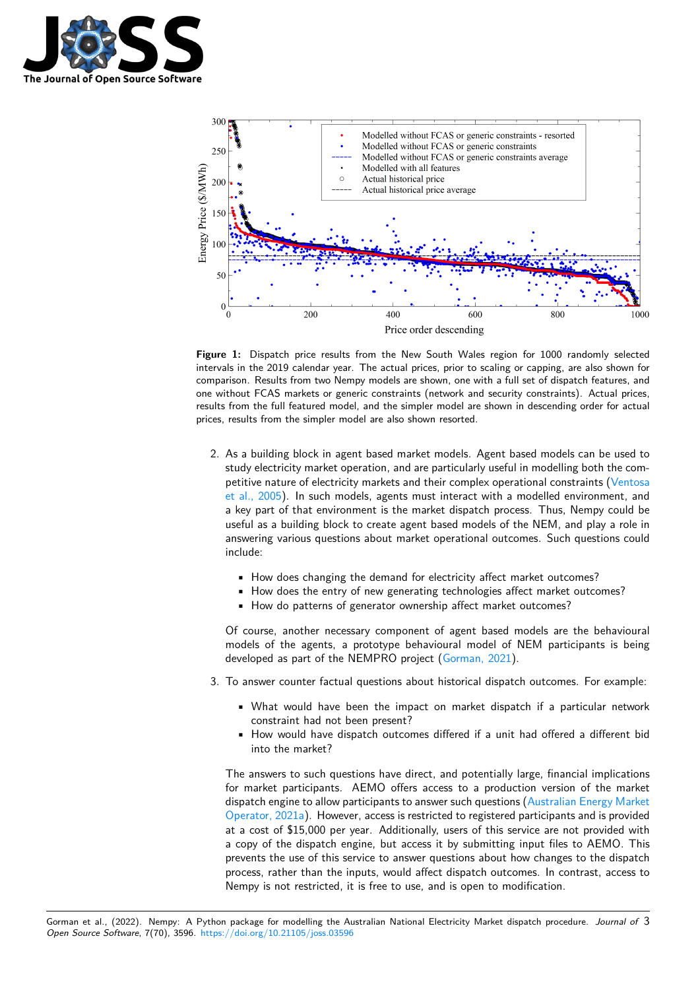



Figure 1: Dispatch price results from the New South Wales region for 1000 randomly selected intervals in the 2019 calendar year. The actual prices, prior to scaling or capping, are also shown for comparison. Results from two Nempy models are shown, one with a full set of dispatch features, and one without FCAS markets or generic constraints (network and security constraints). Actual prices, results from the full featured model, and the simpler model are shown in descending order for actual prices, results from the simpler model are also shown resorted.

- 2. As a building block in agent based market models. Agent based models can be used to study electricity market operation, and are particularly useful in modelling both the competitive nature of electricity markets and their complex operational constraints (Ventosa et al., 2005). In such models, agents must interact with a modelled environment, and a key part of that environment is the market dispatch process. Thus, Nempy could be useful as a building block to create agent based models of the NEM, and play a role in answering various questions about market operational outcomes. Such questio[ns could](#page-4-10) [include:](#page-4-10)
	- How does changing the demand for electricity affect market outcomes?
	- How does the entry of new generating technologies affect market outcomes?
	- How do patterns of generator ownership affect market outcomes?

Of course, another necessary component of agent based models are the behavioural models of the agents, a prototype behavioural model of NEM participants is being developed as part of the NEMPRO project (Gorman, 2021).

- 3. To answer counter factual questions about historical dispatch outcomes. For example:
	- What would have been the impact o[n market dispa](#page-3-4)tch if a particular network constraint had not been present?
	- How would have dispatch outcomes differed if a unit had offered a different bid into the market?

The answers to such questions have direct, and potentially large, financial implications for market participants. AEMO offers access to a production version of the market dispatch engine to allow participants to answer such questions (Australian Energy Market Operator, 2021a). However, access is restricted to registered participants and is provided at a cost of \$15,000 per year. Additionally, users of this service are not provided with a copy of the dispatch engine, but access it by submitting input files to AEMO. This prevents the use of this service to answer questions about ho[w changes to the dispatch](#page-3-5) [process, rather t](#page-3-5)han the inputs, would affect dispatch outcomes. In contrast, access to Nempy is not restricted, it is free to use, and is open to modification.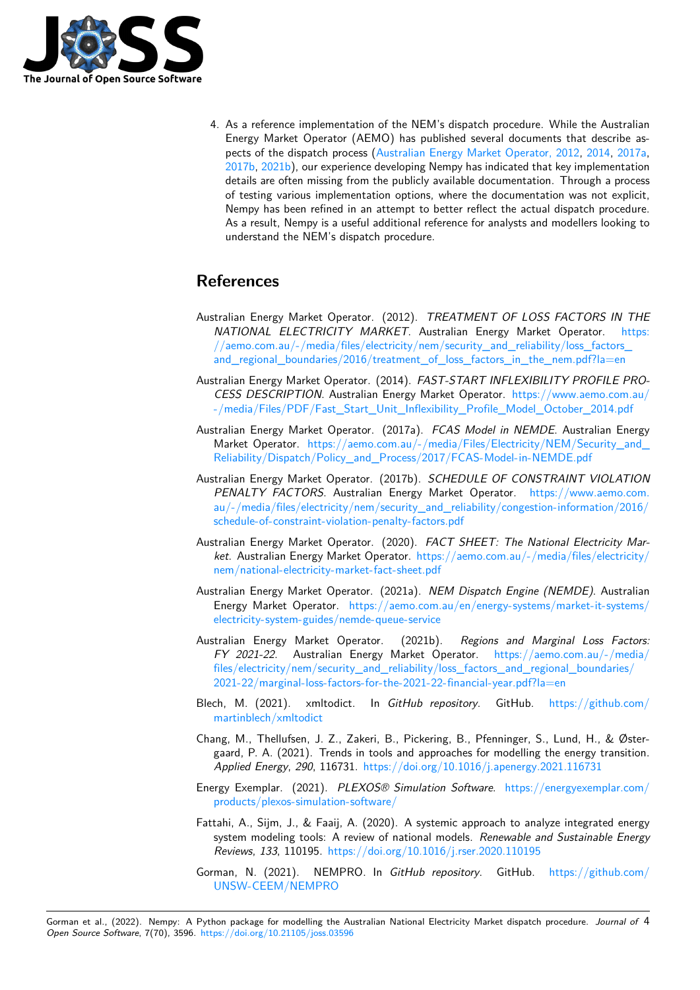

4. As a reference implementation of the NEM's dispatch procedure. While the Australian Energy Market Operator (AEMO) has published several documents that describe aspects of the dispatch process (Australian Energy Market Operator, 2012, 2014, 2017a, 2017b, 2021b), our experience developing Nempy has indicated that key implementation details are often missing from the publicly available documentation. Through a process of testing various implementation options, where the documentation was not explicit, Nempy has been refined in an [attempt to better reflect the actual dispat](#page-3-6)[ch pro](#page-3-7)[cedure.](#page-3-8) [As a re](#page-3-9)[sult, N](#page-3-10)empy is a useful additional reference for analysts and modellers looking to understand the NEM's dispatch procedure.

## **References**

- Australian Energy Market Operator. (2012). *TREATMENT OF LOSS FACTORS IN THE NATIONAL ELECTRICITY MARKET*. Australian Energy Market Operator. https: //aemo.com.au/-/media/files/electricity/nem/security\_and\_reliability/loss\_factors\_ and\_regional\_boundaries/2016/treatment\_of\_loss\_factors\_in\_the\_nem.pdf?la=en
- <span id="page-3-6"></span>Australian Energy Market Operator. (2014). *FAST-START INFLEXIBILITY PROFILE PRO-CESS DESCRIPTION*. Australian Energy Market Operator. https://www.aemo.co[m.au/](https://aemo.com.au/-/media/files/electricity/nem/security_and_reliability/loss_factors_and_regional_boundaries/2016/treatment_of_loss_factors_in_the_nem.pdf?la=en) [-/media/Files/PDF/Fast\\_Start\\_Unit\\_Inflexibility\\_Profile\\_Model\\_October\\_2014.pdf](https://aemo.com.au/-/media/files/electricity/nem/security_and_reliability/loss_factors_and_regional_boundaries/2016/treatment_of_loss_factors_in_the_nem.pdf?la=en)
- <span id="page-3-7"></span>Australian Energy Market Operator. (2017a). *FCAS Model in NEMDE*. Australian Energy Market Operator. https://aemo.com.au/-/media/Files/Elec[tricity/NEM/Security\\_and\\_](https://www.aemo.com.au/-/media/Files/PDF/Fast_Start_Unit_Inflexibility_Profile_Model_October_2014.pdf) [Reliability/Dispatch/Policy\\_and\\_Process/2017/FCAS-Model-in-NEMDE.pdf](https://www.aemo.com.au/-/media/Files/PDF/Fast_Start_Unit_Inflexibility_Profile_Model_October_2014.pdf)
- <span id="page-3-8"></span>Australian Energy Market Operator. (2017b). *SCHEDULE OF CONSTRAINT VIOLATION PENALTY FACTORS*. Australian Energy Market Operator. https://www.aemo.com. [au/-/media/files/electricity/nem/security\\_and\\_reliability/congestion-information/2016/](https://aemo.com.au/-/media/Files/Electricity/NEM/Security_and_Reliability/Dispatch/Policy_and_Process/2017/FCAS-Model-in-NEMDE.pdf) schedule-of-constraint-violation-penalty-factors.pdf
- <span id="page-3-9"></span>Australian Energy Market Operator. (2020). *FACT SHEET: The National Electricity Market*. Australian Energy Market Operator. https://aemo.com.au/[-/media/files/electricity/](https://www.aemo.com.au/-/media/files/electricity/nem/security_and_reliability/congestion-information/2016/schedule-of-constraint-violation-penalty-factors.pdf) [nem/national-electricity-market-fact-sheet.pdf](https://www.aemo.com.au/-/media/files/electricity/nem/security_and_reliability/congestion-information/2016/schedule-of-constraint-violation-penalty-factors.pdf)
- <span id="page-3-0"></span>Australian Energy Market Operator. (2021a). *NEM Dispatch Engine (NEMDE)*. Australian Energy Market Operator. https://aemo[.com.au/en/energy-systems/market-it-systems/](https://aemo.com.au/-/media/files/electricity/nem/national-electricity-market-fact-sheet.pdf) [electricity-system-guides/nemde-queue-service](https://aemo.com.au/-/media/files/electricity/nem/national-electricity-market-fact-sheet.pdf)
- <span id="page-3-5"></span>Australian Energy Market Operator. (2021b). *Regions and Marginal Loss Factors: FY 2021-22*. Australian Energy Market Operator. https://aemo.com.au/-/media/ files/electricity/nem/securi[ty\\_and\\_reliability/loss\\_factors\\_and\\_regional\\_boundaries/](https://aemo.com.au/en/energy-systems/market-it-systems/electricity-system-guides/nemde-queue-service) [2021-22/marginal-loss-factors-for-the-2021-22](https://aemo.com.au/en/energy-systems/market-it-systems/electricity-system-guides/nemde-queue-service)-financial-year.pdf?la=en
- <span id="page-3-10"></span>Blech, M. (2021). xmltodict. In *GitHub repository*. GitHub. [https://github.com/](https://aemo.com.au/-/media/files/electricity/nem/security_and_reliability/loss_factors_and_regional_boundaries/2021-22/marginal-loss-factors-for-the-2021-22-financial-year.pdf?la=en) [martinblech/xmltodict](https://aemo.com.au/-/media/files/electricity/nem/security_and_reliability/loss_factors_and_regional_boundaries/2021-22/marginal-loss-factors-for-the-2021-22-financial-year.pdf?la=en)
- Ch[ang, M., Thellufsen, J. Z., Zakeri, B., Pickering, B., Pfenninger, S., Lu](https://aemo.com.au/-/media/files/electricity/nem/security_and_reliability/loss_factors_and_regional_boundaries/2021-22/marginal-loss-factors-for-the-2021-22-financial-year.pdf?la=en)nd, H., & Østergaard, P. A. (2021). Trends in tools and approaches for modelling [the energy transition.](https://github.com/martinblech/xmltodict) *[Applied Energy](https://github.com/martinblech/xmltodict)*, *290*, 116731. https://doi.org/10.1016/j.apenergy.2021.116731
- Energy Exemplar. (2021). *PLEXOS® Simulation Software*. https://energyexemplar.com/ products/plexos-simulation-software/
- <span id="page-3-1"></span>Fattahi, A., Sijm, J., & Faaij, A. [\(2020\). A systemic approach to analyze integrat](https://doi.org/10.1016/j.apenergy.2021.116731)ed energy system modeling tools: A review of national models. *Rene[wable and Sustainable Energy](https://energyexemplar.com/products/plexos-simulation-software/) Reviews*, *133*, 110195. [https://doi.org](https://energyexemplar.com/products/plexos-simulation-software/)/10.1016/j.rser.2020.110195
- <span id="page-3-4"></span><span id="page-3-3"></span><span id="page-3-2"></span>Gorman, N. (2021). NEMPRO. In *GitHub repository*. GitHub. https://github.com/ UNSW-CEEM/NEMPRO